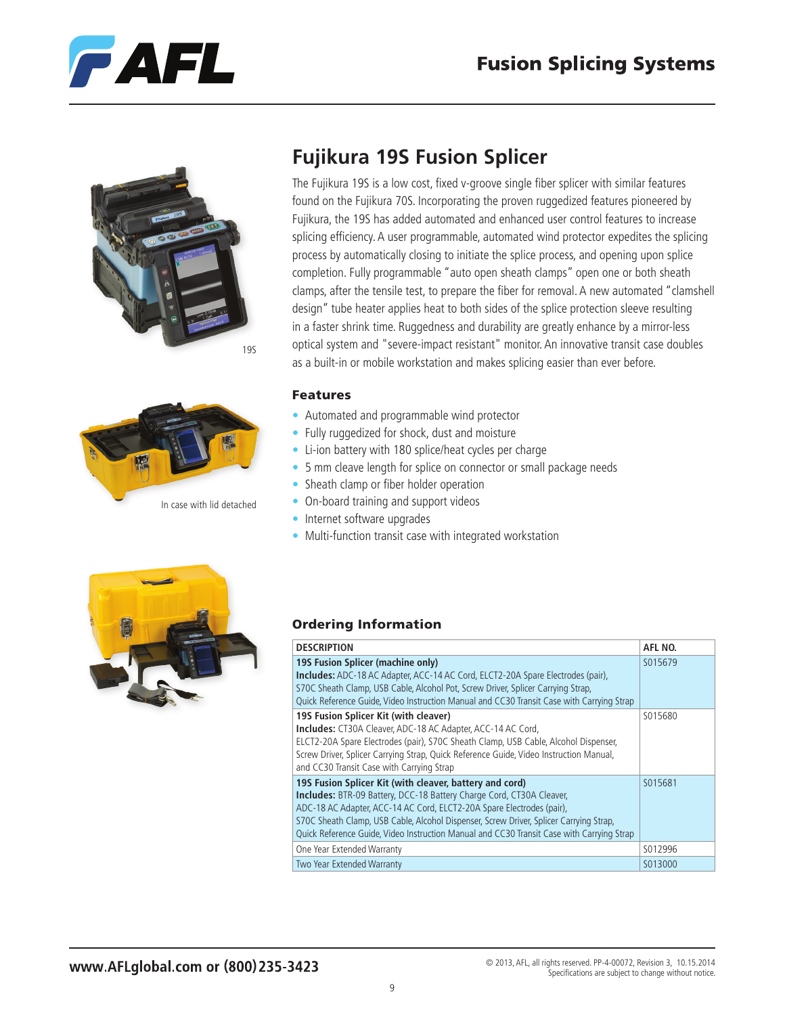





## **Fujikura 19S Fusion Splicer**

The Fujikura 19S is a low cost, fixed v-groove single fiber splicer with similar features found on the Fujikura 70S. Incorporating the proven ruggedized features pioneered by Fujikura, the 19S has added automated and enhanced user control features to increase splicing efficiency. A user programmable, automated wind protector expedites the splicing process by automatically closing to initiate the splice process, and opening upon splice completion. Fully programmable "auto open sheath clamps" open one or both sheath clamps, after the tensile test, to prepare the fiber for removal. A new automated "clamshell design" tube heater applies heat to both sides of the splice protection sleeve resulting in a faster shrink time. Ruggedness and durability are greatly enhance by a mirror-less optical system and "severe-impact resistant" monitor. An innovative transit case doubles as a built-in or mobile workstation and makes splicing easier than ever before.

#### Features

- Automated and programmable wind protector
- Fully ruggedized for shock, dust and moisture
- Li-ion battery with 180 splice/heat cycles per charge
- 5 mm cleave length for splice on connector or small package needs
- Sheath clamp or fiber holder operation
- On-board training and support videos
- Internet software upgrades
- Multi-function transit case with integrated workstation



## Ordering Information

| <b>DESCRIPTION</b>                                                                                                                                                                                                                                                                                                                                                                                     | AFL NO. |
|--------------------------------------------------------------------------------------------------------------------------------------------------------------------------------------------------------------------------------------------------------------------------------------------------------------------------------------------------------------------------------------------------------|---------|
| 19S Fusion Splicer (machine only)<br><b>Includes:</b> ADC-18 AC Adapter, ACC-14 AC Cord, ELCT2-20A Spare Electrodes (pair),<br>S70C Sheath Clamp, USB Cable, Alcohol Pot, Screw Driver, Splicer Carrying Strap,<br>Quick Reference Guide, Video Instruction Manual and CC30 Transit Case with Carrying Strap                                                                                           | S015679 |
| 19S Fusion Splicer Kit (with cleaver)<br><b>Includes:</b> CT30A Cleaver, ADC-18 AC Adapter, ACC-14 AC Cord,<br>ELCT2-20A Spare Electrodes (pair), S70C Sheath Clamp, USB Cable, Alcohol Dispenser,<br>Screw Driver, Splicer Carrying Strap, Quick Reference Guide, Video Instruction Manual,<br>and CC30 Transit Case with Carrying Strap                                                              | S015680 |
| 195 Fusion Splicer Kit (with cleaver, battery and cord)<br><b>Includes:</b> BTR-09 Battery, DCC-18 Battery Charge Cord, CT30A Cleaver,<br>ADC-18 AC Adapter, ACC-14 AC Cord, ELCT2-20A Spare Electrodes (pair),<br>S70C Sheath Clamp, USB Cable, Alcohol Dispenser, Screw Driver, Splicer Carrying Strap,<br>Quick Reference Guide, Video Instruction Manual and CC30 Transit Case with Carrying Strap | S015681 |
| One Year Extended Warranty                                                                                                                                                                                                                                                                                                                                                                             | S012996 |
| Two Year Extended Warranty                                                                                                                                                                                                                                                                                                                                                                             | S013000 |